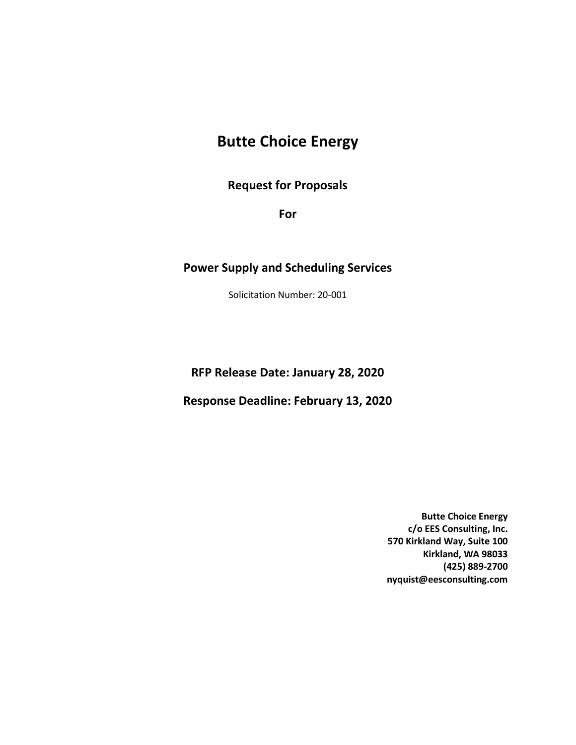# **Butte Choice Energy**

**Request for Proposals**

**For**

#### **Power Supply and Scheduling Services**

Solicitation Number: 20-001

**RFP Release Date: January 28, 2020**

**Response Deadline: February 13, 2020**

**Butte Choice Energy c/o EES Consulting, Inc. 570 Kirkland Way, Suite 100 Kirkland, WA 98033 (425) 889-2700 nyquist@eesconsulting.com**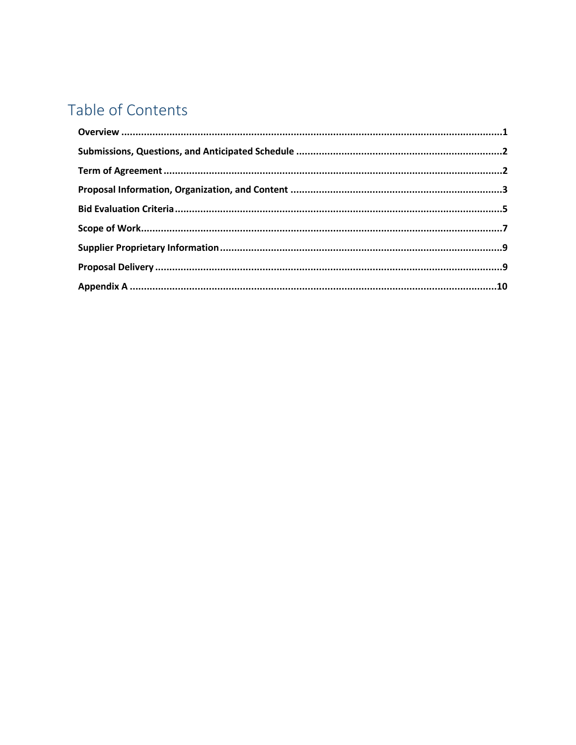# Table of Contents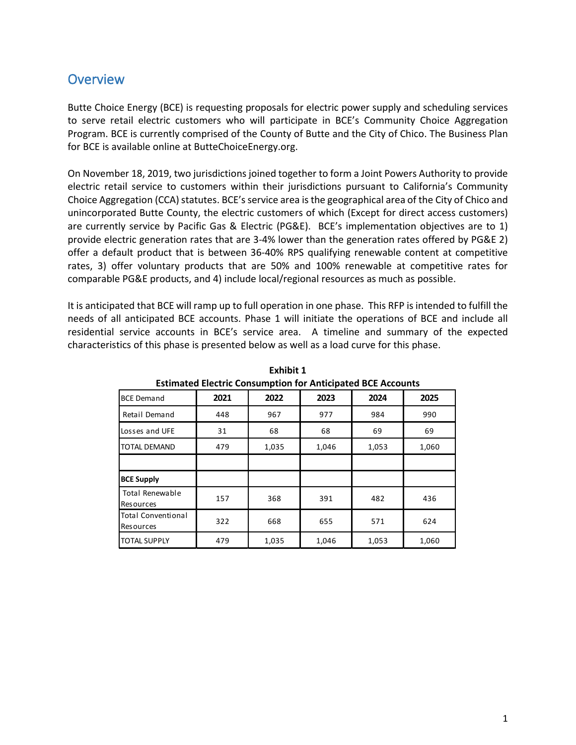### <span id="page-2-0"></span>**Overview**

Butte Choice Energy (BCE) is requesting proposals for electric power supply and scheduling services to serve retail electric customers who will participate in BCE's Community Choice Aggregation Program. BCE is currently comprised of the County of Butte and the City of Chico. The Business Plan for BCE is available online at ButteChoiceEnergy.org.

On November 18, 2019, two jurisdictions joined together to form a Joint Powers Authority to provide electric retail service to customers within their jurisdictions pursuant to California's Community Choice Aggregation (CCA) statutes. BCE's service area is the geographical area of the City of Chico and unincorporated Butte County, the electric customers of which (Except for direct access customers) are currently service by Pacific Gas & Electric (PG&E). BCE's implementation objectives are to 1) provide electric generation rates that are 3-4% lower than the generation rates offered by PG&E 2) offer a default product that is between 36-40% RPS qualifying renewable content at competitive rates, 3) offer voluntary products that are 50% and 100% renewable at competitive rates for comparable PG&E products, and 4) include local/regional resources as much as possible.

It is anticipated that BCE will ramp up to full operation in one phase. This RFP is intended to fulfill the needs of all anticipated BCE accounts. Phase 1 will initiate the operations of BCE and include all residential service accounts in BCE's service area. A timeline and summary of the expected characteristics of this phase is presented below as well as a load curve for this phase. 

| Extinued Electric Consumption for Anticipated DCE Accounts |      |       |       |       |       |  |
|------------------------------------------------------------|------|-------|-------|-------|-------|--|
| <b>BCE Demand</b>                                          | 2021 | 2022  | 2023  | 2024  | 2025  |  |
| Retail Demand                                              | 448  | 967   | 977   | 984   | 990   |  |
| Losses and UFE                                             | 31   | 68    | 68    | 69    | 69    |  |
| <b>TOTAL DEMAND</b>                                        | 479  | 1,035 | 1,046 | 1,053 | 1,060 |  |
|                                                            |      |       |       |       |       |  |
| <b>BCE Supply</b>                                          |      |       |       |       |       |  |
| <b>Total Renewable</b><br><b>Resources</b>                 | 157  | 368   | 391   | 482   | 436   |  |
| <b>Total Conventional</b><br><b>Resources</b>              | 322  | 668   | 655   | 571   | 624   |  |
| <b>TOTAL SUPPLY</b>                                        | 479  | 1,035 | 1,046 | 1,053 | 1,060 |  |

**Exhibit 1 Estimated Electric Consumption for Anticipated BCE Accounts**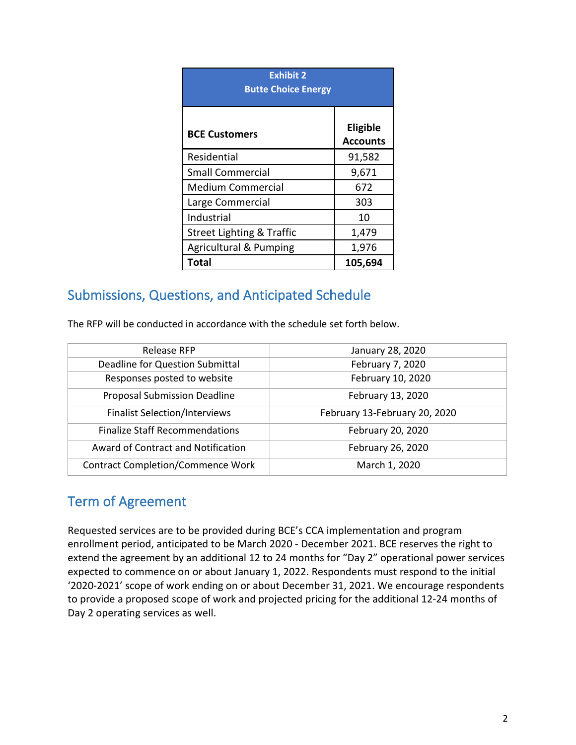| <b>Exhibit 2</b><br><b>Butte Choice Energy</b> |                             |  |  |  |  |
|------------------------------------------------|-----------------------------|--|--|--|--|
| <b>BCE Customers</b>                           | Eligible<br><b>Accounts</b> |  |  |  |  |
| Residential                                    | 91,582                      |  |  |  |  |
| <b>Small Commercial</b>                        | 9,671                       |  |  |  |  |
| <b>Medium Commercial</b>                       | 672                         |  |  |  |  |
| Large Commercial                               | 303                         |  |  |  |  |
| Industrial                                     | 10                          |  |  |  |  |
| <b>Street Lighting &amp; Traffic</b>           | 1,479                       |  |  |  |  |
| <b>Agricultural &amp; Pumping</b>              | 1,976                       |  |  |  |  |
| Total                                          | 105,694                     |  |  |  |  |

## <span id="page-3-0"></span>Submissions, Questions, and Anticipated Schedule

The RFP will be conducted in accordance with the schedule set forth below.

| Release RFP                              | January 28, 2020              |
|------------------------------------------|-------------------------------|
| Deadline for Question Submittal          | February 7, 2020              |
| Responses posted to website              | February 10, 2020             |
| <b>Proposal Submission Deadline</b>      | February 13, 2020             |
| <b>Finalist Selection/Interviews</b>     | February 13-February 20, 2020 |
| <b>Finalize Staff Recommendations</b>    | February 20, 2020             |
| Award of Contract and Notification       | February 26, 2020             |
| <b>Contract Completion/Commence Work</b> | March 1, 2020                 |

## <span id="page-3-1"></span>Term of Agreement

Requested services are to be provided during BCE's CCA implementation and program enrollment period, anticipated to be March 2020 - December 2021. BCE reserves the right to extend the agreement by an additional 12 to 24 months for "Day 2" operational power services expected to commence on or about January 1, 2022. Respondents must respond to the initial '2020-2021' scope of work ending on or about December 31, 2021. We encourage respondents to provide a proposed scope of work and projected pricing for the additional 12-24 months of Day 2 operating services as well.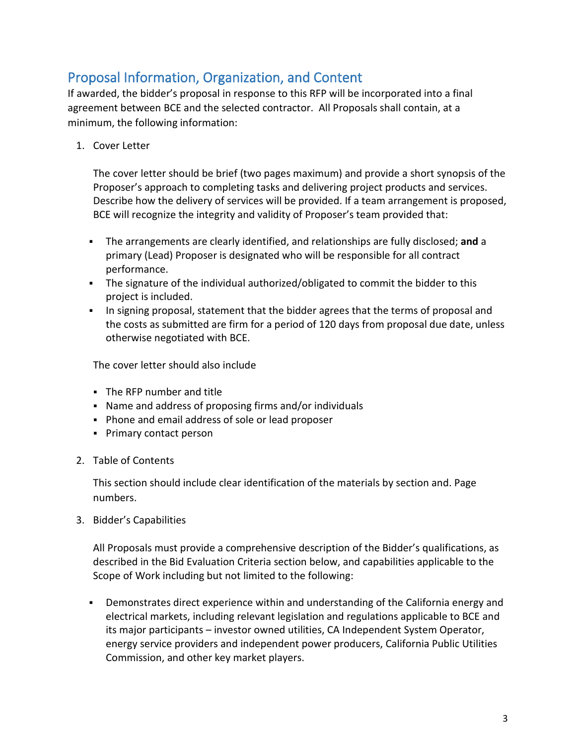# <span id="page-4-0"></span>Proposal Information, Organization, and Content

If awarded, the bidder's proposal in response to this RFP will be incorporated into a final agreement between BCE and the selected contractor. All Proposals shall contain, at a minimum, the following information:

1. Cover Letter

The cover letter should be brief (two pages maximum) and provide a short synopsis of the Proposer's approach to completing tasks and delivering project products and services. Describe how the delivery of services will be provided. If a team arrangement is proposed, BCE will recognize the integrity and validity of Proposer's team provided that:

- The arrangements are clearly identified, and relationships are fully disclosed; **and** a primary (Lead) Proposer is designated who will be responsible for all contract performance.
- The signature of the individual authorized/obligated to commit the bidder to this project is included.
- In signing proposal, statement that the bidder agrees that the terms of proposal and the costs as submitted are firm for a period of 120 days from proposal due date, unless otherwise negotiated with BCE.

The cover letter should also include

- The RFP number and title
- Name and address of proposing firms and/or individuals
- Phone and email address of sole or lead proposer
- **Primary contact person**
- 2. Table of Contents

This section should include clear identification of the materials by section and. Page numbers.

3. Bidder's Capabilities

All Proposals must provide a comprehensive description of the Bidder's qualifications, as described in the Bid Evaluation Criteria section below, and capabilities applicable to the Scope of Work including but not limited to the following:

 Demonstrates direct experience within and understanding of the California energy and electrical markets, including relevant legislation and regulations applicable to BCE and its major participants – investor owned utilities, CA Independent System Operator, energy service providers and independent power producers, California Public Utilities Commission, and other key market players.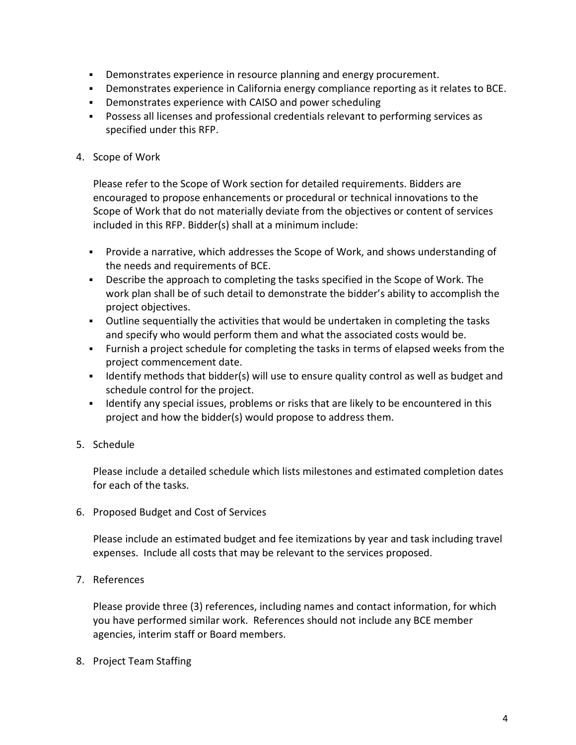- Demonstrates experience in resource planning and energy procurement.
- Demonstrates experience in California energy compliance reporting as it relates to BCE.
- Demonstrates experience with CAISO and power scheduling
- Possess all licenses and professional credentials relevant to performing services as specified under this RFP.
- 4. Scope of Work

Please refer to the Scope of Work section for detailed requirements. Bidders are encouraged to propose enhancements or procedural or technical innovations to the Scope of Work that do not materially deviate from the objectives or content of services included in this RFP. Bidder(s) shall at a minimum include:

- Provide a narrative, which addresses the Scope of Work, and shows understanding of the needs and requirements of BCE.
- Describe the approach to completing the tasks specified in the Scope of Work. The work plan shall be of such detail to demonstrate the bidder's ability to accomplish the project objectives.
- Outline sequentially the activities that would be undertaken in completing the tasks and specify who would perform them and what the associated costs would be.
- Furnish a project schedule for completing the tasks in terms of elapsed weeks from the project commencement date.
- If Identify methods that bidder(s) will use to ensure quality control as well as budget and schedule control for the project.
- **IDENTIFY** any special issues, problems or risks that are likely to be encountered in this project and how the bidder(s) would propose to address them.
- 5. Schedule

Please include a detailed schedule which lists milestones and estimated completion dates for each of the tasks.

6. Proposed Budget and Cost of Services

Please include an estimated budget and fee itemizations by year and task including travel expenses. Include all costs that may be relevant to the services proposed.

7. References

Please provide three (3) references, including names and contact information, for which you have performed similar work. References should not include any BCE member agencies, interim staff or Board members.

8. Project Team Staffing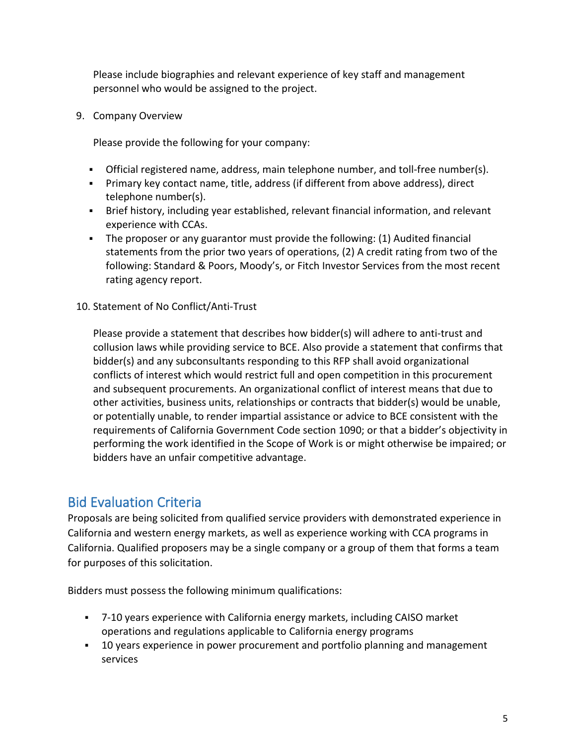Please include biographies and relevant experience of key staff and management personnel who would be assigned to the project.

9. Company Overview

Please provide the following for your company:

- Official registered name, address, main telephone number, and toll-free number(s).
- Primary key contact name, title, address (if different from above address), direct telephone number(s).
- Brief history, including year established, relevant financial information, and relevant experience with CCAs.
- The proposer or any guarantor must provide the following: (1) Audited financial statements from the prior two years of operations, (2) A credit rating from two of the following: Standard & Poors, Moody's, or Fitch Investor Services from the most recent rating agency report.
- 10. Statement of No Conflict/Anti-Trust

Please provide a statement that describes how bidder(s) will adhere to anti-trust and collusion laws while providing service to BCE. Also provide a statement that confirms that bidder(s) and any subconsultants responding to this RFP shall avoid organizational conflicts of interest which would restrict full and open competition in this procurement and subsequent procurements. An organizational conflict of interest means that due to other activities, business units, relationships or contracts that bidder(s) would be unable, or potentially unable, to render impartial assistance or advice to BCE consistent with the requirements of California Government Code section 1090; or that a bidder's objectivity in performing the work identified in the Scope of Work is or might otherwise be impaired; or bidders have an unfair competitive advantage.

## <span id="page-6-0"></span>Bid Evaluation Criteria

Proposals are being solicited from qualified service providers with demonstrated experience in California and western energy markets, as well as experience working with CCA programs in California. Qualified proposers may be a single company or a group of them that forms a team for purposes of this solicitation.

Bidders must possess the following minimum qualifications:

- 7-10 years experience with California energy markets, including CAISO market operations and regulations applicable to California energy programs
- 10 years experience in power procurement and portfolio planning and management services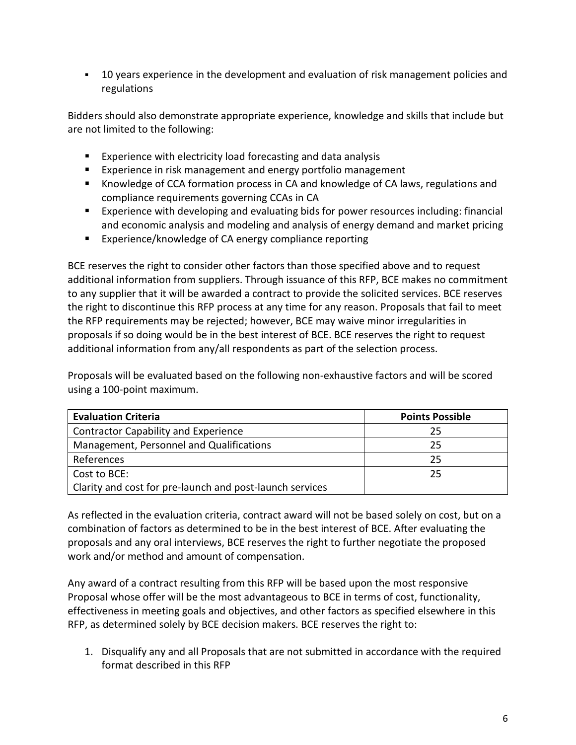10 years experience in the development and evaluation of risk management policies and regulations

Bidders should also demonstrate appropriate experience, knowledge and skills that include but are not limited to the following:

- **Experience with electricity load forecasting and data analysis**
- **Experience in risk management and energy portfolio management**
- Knowledge of CCA formation process in CA and knowledge of CA laws, regulations and compliance requirements governing CCAs in CA
- **EXPERIENCE 6.1** Experience with developing and evaluating bids for power resources including: financial and economic analysis and modeling and analysis of energy demand and market pricing
- **Experience/knowledge of CA energy compliance reporting**

BCE reserves the right to consider other factors than those specified above and to request additional information from suppliers. Through issuance of this RFP, BCE makes no commitment to any supplier that it will be awarded a contract to provide the solicited services. BCE reserves the right to discontinue this RFP process at any time for any reason. Proposals that fail to meet the RFP requirements may be rejected; however, BCE may waive minor irregularities in proposals if so doing would be in the best interest of BCE. BCE reserves the right to request additional information from any/all respondents as part of the selection process.

Proposals will be evaluated based on the following non-exhaustive factors and will be scored using a 100-point maximum.

| <b>Evaluation Criteria</b>                               | <b>Points Possible</b> |
|----------------------------------------------------------|------------------------|
| <b>Contractor Capability and Experience</b>              | 25                     |
| Management, Personnel and Qualifications                 | 25                     |
| References                                               | 25                     |
| Cost to BCE:                                             | 25                     |
| Clarity and cost for pre-launch and post-launch services |                        |

As reflected in the evaluation criteria, contract award will not be based solely on cost, but on a combination of factors as determined to be in the best interest of BCE. After evaluating the proposals and any oral interviews, BCE reserves the right to further negotiate the proposed work and/or method and amount of compensation.

Any award of a contract resulting from this RFP will be based upon the most responsive Proposal whose offer will be the most advantageous to BCE in terms of cost, functionality, effectiveness in meeting goals and objectives, and other factors as specified elsewhere in this RFP, as determined solely by BCE decision makers. BCE reserves the right to:

1. Disqualify any and all Proposals that are not submitted in accordance with the required format described in this RFP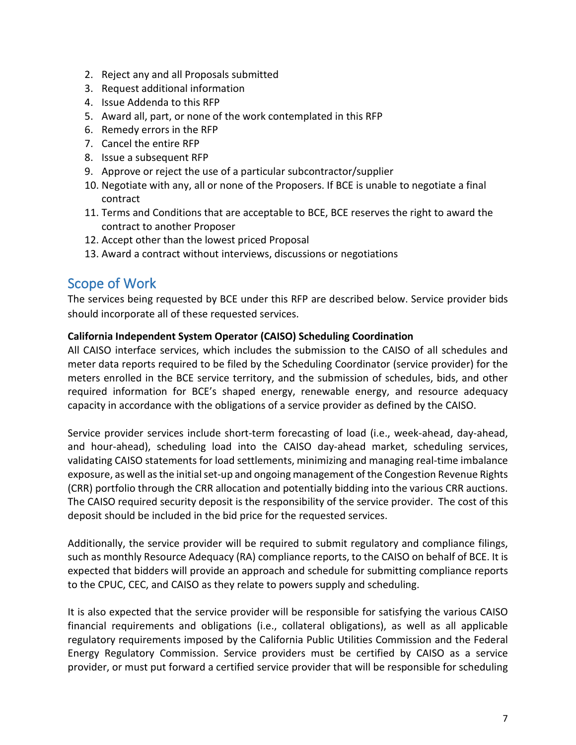- 2. Reject any and all Proposals submitted
- 3. Request additional information
- 4. Issue Addenda to this RFP
- 5. Award all, part, or none of the work contemplated in this RFP
- 6. Remedy errors in the RFP
- 7. Cancel the entire RFP
- 8. Issue a subsequent RFP
- 9. Approve or reject the use of a particular subcontractor/supplier
- 10. Negotiate with any, all or none of the Proposers. If BCE is unable to negotiate a final contract
- 11. Terms and Conditions that are acceptable to BCE, BCE reserves the right to award the contract to another Proposer
- 12. Accept other than the lowest priced Proposal
- 13. Award a contract without interviews, discussions or negotiations

### <span id="page-8-0"></span>Scope of Work

The services being requested by BCE under this RFP are described below. Service provider bids should incorporate all of these requested services.

#### **California Independent System Operator (CAISO) Scheduling Coordination**

All CAISO interface services, which includes the submission to the CAISO of all schedules and meter data reports required to be filed by the Scheduling Coordinator (service provider) for the meters enrolled in the BCE service territory, and the submission of schedules, bids, and other required information for BCE's shaped energy, renewable energy, and resource adequacy capacity in accordance with the obligations of a service provider as defined by the CAISO.

Service provider services include short-term forecasting of load (i.e., week-ahead, day-ahead, and hour-ahead), scheduling load into the CAISO day-ahead market, scheduling services, validating CAISO statements for load settlements, minimizing and managing real-time imbalance exposure, as well as the initial set-up and ongoing management of the Congestion Revenue Rights (CRR) portfolio through the CRR allocation and potentially bidding into the various CRR auctions. The CAISO required security deposit is the responsibility of the service provider. The cost of this deposit should be included in the bid price for the requested services.

Additionally, the service provider will be required to submit regulatory and compliance filings, such as monthly Resource Adequacy (RA) compliance reports, to the CAISO on behalf of BCE. It is expected that bidders will provide an approach and schedule for submitting compliance reports to the CPUC, CEC, and CAISO as they relate to powers supply and scheduling.

It is also expected that the service provider will be responsible for satisfying the various CAISO financial requirements and obligations (i.e., collateral obligations), as well as all applicable regulatory requirements imposed by the California Public Utilities Commission and the Federal Energy Regulatory Commission. Service providers must be certified by CAISO as a service provider, or must put forward a certified service provider that will be responsible for scheduling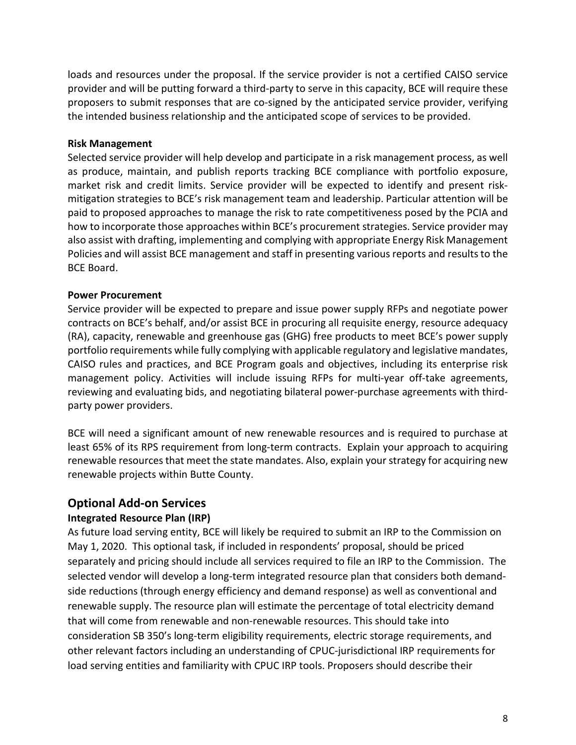loads and resources under the proposal. If the service provider is not a certified CAISO service provider and will be putting forward a third-party to serve in this capacity, BCE will require these proposers to submit responses that are co-signed by the anticipated service provider, verifying the intended business relationship and the anticipated scope of services to be provided.

#### **Risk Management**

Selected service provider will help develop and participate in a risk management process, as well as produce, maintain, and publish reports tracking BCE compliance with portfolio exposure, market risk and credit limits. Service provider will be expected to identify and present riskmitigation strategies to BCE's risk management team and leadership. Particular attention will be paid to proposed approaches to manage the risk to rate competitiveness posed by the PCIA and how to incorporate those approaches within BCE's procurement strategies. Service provider may also assist with drafting, implementing and complying with appropriate Energy Risk Management Policies and will assist BCE management and staff in presenting various reports and results to the BCE Board.

#### **Power Procurement**

Service provider will be expected to prepare and issue power supply RFPs and negotiate power contracts on BCE's behalf, and/or assist BCE in procuring all requisite energy, resource adequacy (RA), capacity, renewable and greenhouse gas (GHG) free products to meet BCE's power supply portfolio requirements while fully complying with applicable regulatory and legislative mandates, CAISO rules and practices, and BCE Program goals and objectives, including its enterprise risk management policy. Activities will include issuing RFPs for multi-year off-take agreements, reviewing and evaluating bids, and negotiating bilateral power-purchase agreements with thirdparty power providers.

BCE will need a significant amount of new renewable resources and is required to purchase at least 65% of its RPS requirement from long-term contracts. Explain your approach to acquiring renewable resources that meet the state mandates. Also, explain your strategy for acquiring new renewable projects within Butte County.

#### **Optional Add-on Services**

#### **Integrated Resource Plan (IRP)**

As future load serving entity, BCE will likely be required to submit an IRP to the Commission on May 1, 2020. This optional task, if included in respondents' proposal, should be priced separately and pricing should include all services required to file an IRP to the Commission. The selected vendor will develop a long-term integrated resource plan that considers both demandside reductions (through energy efficiency and demand response) as well as conventional and renewable supply. The resource plan will estimate the percentage of total electricity demand that will come from renewable and non-renewable resources. This should take into consideration SB 350's long-term eligibility requirements, electric storage requirements, and other relevant factors including an understanding of CPUC-jurisdictional IRP requirements for load serving entities and familiarity with CPUC IRP tools. Proposers should describe their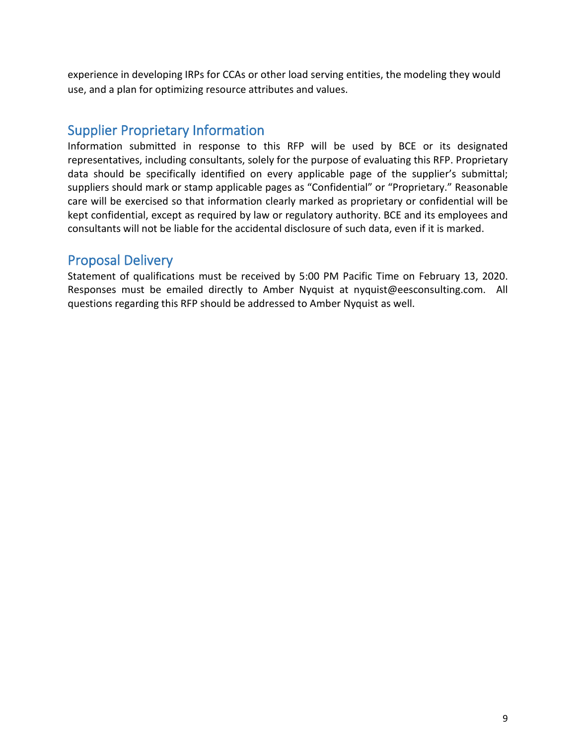experience in developing IRPs for CCAs or other load serving entities, the modeling they would use, and a plan for optimizing resource attributes and values.

### <span id="page-10-0"></span>Supplier Proprietary Information

Information submitted in response to this RFP will be used by BCE or its designated representatives, including consultants, solely for the purpose of evaluating this RFP. Proprietary data should be specifically identified on every applicable page of the supplier's submittal; suppliers should mark or stamp applicable pages as "Confidential" or "Proprietary." Reasonable care will be exercised so that information clearly marked as proprietary or confidential will be kept confidential, except as required by law or regulatory authority. BCE and its employees and consultants will not be liable for the accidental disclosure of such data, even if it is marked.

### <span id="page-10-1"></span>Proposal Delivery

Statement of qualifications must be received by 5:00 PM Pacific Time on February 13, 2020. Responses must be emailed directly to Amber Nyquist at nyquist@eesconsulting.com. All questions regarding this RFP should be addressed to Amber Nyquist as well.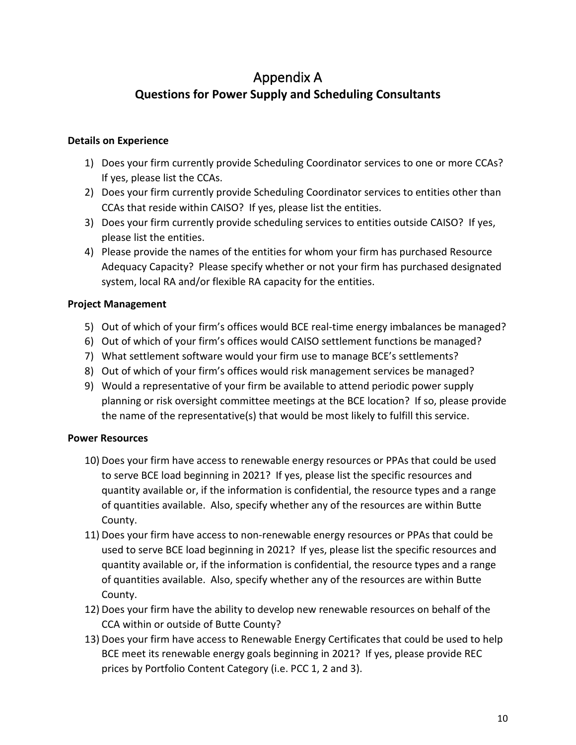# Appendix A **Questions for Power Supply and Scheduling Consultants**

#### <span id="page-11-0"></span>**Details on Experience**

- 1) Does your firm currently provide Scheduling Coordinator services to one or more CCAs? If yes, please list the CCAs.
- 2) Does your firm currently provide Scheduling Coordinator services to entities other than CCAs that reside within CAISO? If yes, please list the entities.
- 3) Does your firm currently provide scheduling services to entities outside CAISO? If yes, please list the entities.
- 4) Please provide the names of the entities for whom your firm has purchased Resource Adequacy Capacity? Please specify whether or not your firm has purchased designated system, local RA and/or flexible RA capacity for the entities.

#### **Project Management**

- 5) Out of which of your firm's offices would BCE real-time energy imbalances be managed?
- 6) Out of which of your firm's offices would CAISO settlement functions be managed?
- 7) What settlement software would your firm use to manage BCE's settlements?
- 8) Out of which of your firm's offices would risk management services be managed?
- 9) Would a representative of your firm be available to attend periodic power supply planning or risk oversight committee meetings at the BCE location? If so, please provide the name of the representative(s) that would be most likely to fulfill this service.

#### **Power Resources**

- 10) Does your firm have access to renewable energy resources or PPAs that could be used to serve BCE load beginning in 2021? If yes, please list the specific resources and quantity available or, if the information is confidential, the resource types and a range of quantities available. Also, specify whether any of the resources are within Butte County.
- 11) Does your firm have access to non-renewable energy resources or PPAs that could be used to serve BCE load beginning in 2021? If yes, please list the specific resources and quantity available or, if the information is confidential, the resource types and a range of quantities available. Also, specify whether any of the resources are within Butte County.
- 12) Does your firm have the ability to develop new renewable resources on behalf of the CCA within or outside of Butte County?
- 13) Does your firm have access to Renewable Energy Certificates that could be used to help BCE meet its renewable energy goals beginning in 2021? If yes, please provide REC prices by Portfolio Content Category (i.e. PCC 1, 2 and 3).